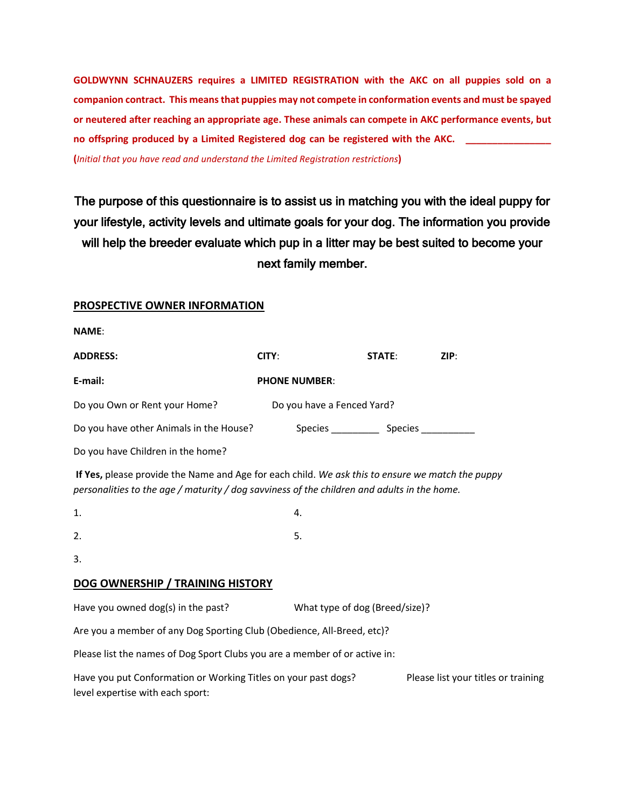**GOLDWYNN SCHNAUZERS requires a LIMITED REGISTRATION with the AKC on all puppies sold on a companion contract. This means that puppies may not compete in conformation events and must be spayed or neutered after reaching an appropriate age. These animals can compete in AKC performance events, but no offspring produced by a Limited Registered dog can be registered with the AKC. \_\_\_\_\_\_\_\_\_\_\_\_\_\_\_\_ (***Initial that you have read and understand the Limited Registration restrictions***)**

The purpose of this questionnaire is to assist us in matching you with the ideal puppy for your lifestyle, activity levels and ultimate goals for your dog. The information you provide will help the breeder evaluate which pup in a litter may be best suited to become your next family member.

## **PROSPECTIVE OWNER INFORMATION**

| <b>ADDRESS:</b>                         | CITY:                      | <b>STATE:</b>  | ZIP: |
|-----------------------------------------|----------------------------|----------------|------|
| E-mail:                                 | <b>PHONE NUMBER:</b>       |                |      |
| Do you Own or Rent your Home?           | Do you have a Fenced Yard? |                |      |
| Do you have other Animals in the House? | Species                    | <b>Species</b> |      |

Do you have Children in the home?

**If Yes,** please provide the Name and Age for each child. *We ask this to ensure we match the puppy personalities to the age / maturity / dog savviness of the children and adults in the home.*

| 1. | 4. |
|----|----|
| 2. | 5. |

3.

## **DOG OWNERSHIP / TRAINING HISTORY**

Have you owned dog(s) in the past? What type of dog (Breed/size)?

Are you a member of any Dog Sporting Club (Obedience, All-Breed, etc)?

Please list the names of Dog Sport Clubs you are a member of or active in:

| Have you put Conformation or Working Titles on your past dogs? | Please list your titles or training |
|----------------------------------------------------------------|-------------------------------------|
| level expertise with each sport:                               |                                     |